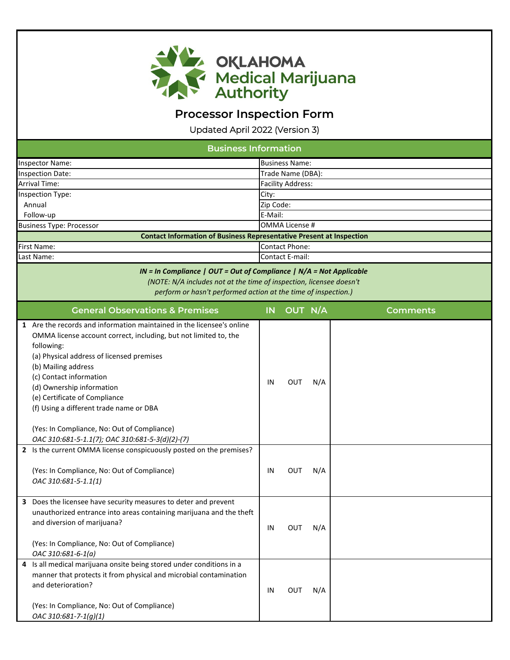

Updated April 2022 (Version 3)

| <b>Business Information</b>                                                                                                                                                                                                                                                                                                                                                                                                                                                                                                                                                             |                   |                          |            |                 |  |  |  |
|-----------------------------------------------------------------------------------------------------------------------------------------------------------------------------------------------------------------------------------------------------------------------------------------------------------------------------------------------------------------------------------------------------------------------------------------------------------------------------------------------------------------------------------------------------------------------------------------|-------------------|--------------------------|------------|-----------------|--|--|--|
| Inspector Name:                                                                                                                                                                                                                                                                                                                                                                                                                                                                                                                                                                         |                   | <b>Business Name:</b>    |            |                 |  |  |  |
| <b>Inspection Date:</b>                                                                                                                                                                                                                                                                                                                                                                                                                                                                                                                                                                 | Trade Name (DBA): |                          |            |                 |  |  |  |
| Arrival Time:                                                                                                                                                                                                                                                                                                                                                                                                                                                                                                                                                                           |                   | <b>Facility Address:</b> |            |                 |  |  |  |
| Inspection Type:                                                                                                                                                                                                                                                                                                                                                                                                                                                                                                                                                                        | City:             |                          |            |                 |  |  |  |
| Annual                                                                                                                                                                                                                                                                                                                                                                                                                                                                                                                                                                                  | Zip Code:         |                          |            |                 |  |  |  |
| Follow-up                                                                                                                                                                                                                                                                                                                                                                                                                                                                                                                                                                               | E-Mail:           |                          |            |                 |  |  |  |
| <b>Business Type: Processor</b>                                                                                                                                                                                                                                                                                                                                                                                                                                                                                                                                                         |                   | <b>OMMA License #</b>    |            |                 |  |  |  |
| <b>Contact Information of Business Representative Present at Inspection</b>                                                                                                                                                                                                                                                                                                                                                                                                                                                                                                             |                   |                          |            |                 |  |  |  |
| First Name:                                                                                                                                                                                                                                                                                                                                                                                                                                                                                                                                                                             |                   | <b>Contact Phone:</b>    |            |                 |  |  |  |
| Last Name:                                                                                                                                                                                                                                                                                                                                                                                                                                                                                                                                                                              |                   | Contact E-mail:          |            |                 |  |  |  |
| IN = In Compliance   OUT = Out of Compliance   N/A = Not Applicable<br>(NOTE: N/A includes not at the time of inspection, licensee doesn't<br>perform or hasn't performed action at the time of inspection.)                                                                                                                                                                                                                                                                                                                                                                            |                   |                          |            |                 |  |  |  |
| <b>General Observations &amp; Premises</b>                                                                                                                                                                                                                                                                                                                                                                                                                                                                                                                                              | <b>IN</b>         | OUT N/A                  |            | <b>Comments</b> |  |  |  |
| 1 Are the records and information maintained in the licensee's online<br>OMMA license account correct, including, but not limited to, the<br>following:<br>(a) Physical address of licensed premises<br>(b) Mailing address<br>(c) Contact information<br>(d) Ownership information<br>(e) Certificate of Compliance<br>(f) Using a different trade name or DBA<br>(Yes: In Compliance, No: Out of Compliance)<br>OAC 310:681-5-1.1(7); OAC 310:681-5-3(d)(2)-(7)<br>2 Is the current OMMA license conspicuously posted on the premises?<br>(Yes: In Compliance, No: Out of Compliance) | IN<br>IN          | <b>OUT</b><br><b>OUT</b> | N/A<br>N/A |                 |  |  |  |
| OAC 310:681-5-1.1(1)<br>Does the licensee have security measures to deter and prevent<br>unauthorized entrance into areas containing marijuana and the theft                                                                                                                                                                                                                                                                                                                                                                                                                            |                   |                          |            |                 |  |  |  |
| and diversion of marijuana?<br>(Yes: In Compliance, No: Out of Compliance)<br>OAC 310:681-6-1(a)                                                                                                                                                                                                                                                                                                                                                                                                                                                                                        | IN                | <b>OUT</b>               | N/A        |                 |  |  |  |
| Is all medical marijuana onsite being stored under conditions in a<br>4<br>manner that protects it from physical and microbial contamination<br>and deterioration?<br>(Yes: In Compliance, No: Out of Compliance)<br>OAC 310:681-7-1(g)(1)                                                                                                                                                                                                                                                                                                                                              | IN                | OUT                      | N/A        |                 |  |  |  |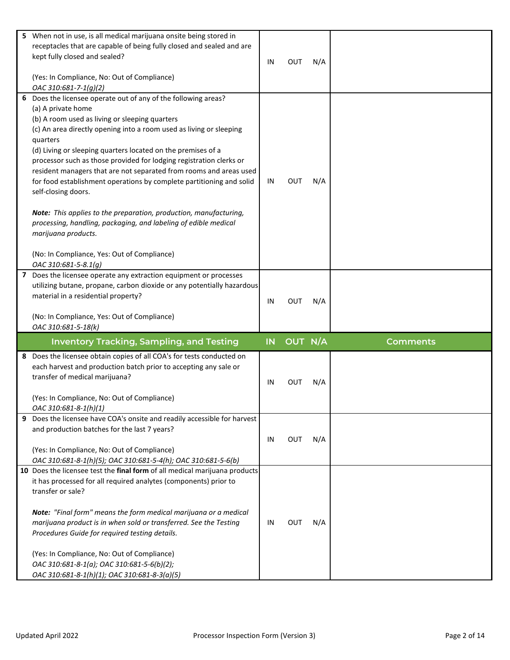| 5. | When not in use, is all medical marijuana onsite being stored in<br>receptacles that are capable of being fully closed and sealed and are<br>kept fully closed and sealed?<br>(Yes: In Compliance, No: Out of Compliance)                                                                                                                                                                                                                                                                                                                                                                                                                                                                                                                                                                            | IN | <b>OUT</b> | N/A |                 |
|----|------------------------------------------------------------------------------------------------------------------------------------------------------------------------------------------------------------------------------------------------------------------------------------------------------------------------------------------------------------------------------------------------------------------------------------------------------------------------------------------------------------------------------------------------------------------------------------------------------------------------------------------------------------------------------------------------------------------------------------------------------------------------------------------------------|----|------------|-----|-----------------|
|    | OAC 310:681-7-1(g)(2)<br>6 Does the licensee operate out of any of the following areas?<br>(a) A private home<br>(b) A room used as living or sleeping quarters<br>(c) An area directly opening into a room used as living or sleeping<br>quarters<br>(d) Living or sleeping quarters located on the premises of a<br>processor such as those provided for lodging registration clerks or<br>resident managers that are not separated from rooms and areas used<br>for food establishment operations by complete partitioning and solid<br>self-closing doors.<br>Note: This applies to the preparation, production, manufacturing,<br>processing, handling, packaging, and labeling of edible medical<br>marijuana products.<br>(No: In Compliance, Yes: Out of Compliance)<br>OAC 310:681-5-8.1(g) | IN | <b>OUT</b> | N/A |                 |
|    | 7 Does the licensee operate any extraction equipment or processes<br>utilizing butane, propane, carbon dioxide or any potentially hazardous<br>material in a residential property?<br>(No: In Compliance, Yes: Out of Compliance)                                                                                                                                                                                                                                                                                                                                                                                                                                                                                                                                                                    | IN | <b>OUT</b> | N/A |                 |
|    | OAC 310:681-5-18(k)<br><b>Inventory Tracking, Sampling, and Testing</b>                                                                                                                                                                                                                                                                                                                                                                                                                                                                                                                                                                                                                                                                                                                              | IN | OUT N/A    |     | <b>Comments</b> |
| 8  | Does the licensee obtain copies of all COA's for tests conducted on<br>each harvest and production batch prior to accepting any sale or<br>transfer of medical marijuana?<br>(Yes: In Compliance, No: Out of Compliance)<br>OAC 310:681-8-1(h)(1)                                                                                                                                                                                                                                                                                                                                                                                                                                                                                                                                                    | IN | Ουτ        | N/A |                 |
| 9  | Does the licensee have COA's onsite and readily accessible for harvest<br>and production batches for the last 7 years?<br>(Yes: In Compliance, No: Out of Compliance)<br>OAC 310:681-8-1(h)(5); OAC 310:681-5-4(h); OAC 310:681-5-6(b)                                                                                                                                                                                                                                                                                                                                                                                                                                                                                                                                                               | IN | OUT        | N/A |                 |
|    | 10 Does the licensee test the final form of all medical marijuana products<br>it has processed for all required analytes (components) prior to<br>transfer or sale?<br>Note: "Final form" means the form medical marijuana or a medical<br>marijuana product is in when sold or transferred. See the Testing<br>Procedures Guide for required testing details.<br>(Yes: In Compliance, No: Out of Compliance)                                                                                                                                                                                                                                                                                                                                                                                        | IN | OUT        | N/A |                 |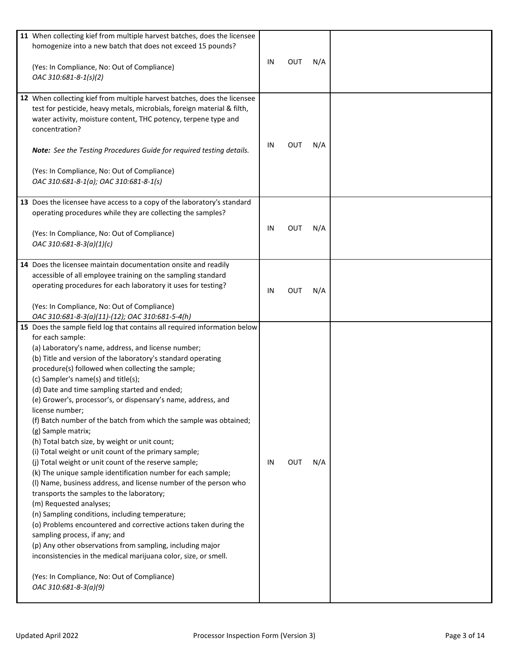| 11 When collecting kief from multiple harvest batches, does the licensee<br>homogenize into a new batch that does not exceed 15 pounds?                                                                                                                                                                                                                                                                                                                                                                                                                                                                                                                                                                                                                                                                                                                                                                                                                                                                                                                                                                                                                                                                                                                                                          |    |            |     |  |
|--------------------------------------------------------------------------------------------------------------------------------------------------------------------------------------------------------------------------------------------------------------------------------------------------------------------------------------------------------------------------------------------------------------------------------------------------------------------------------------------------------------------------------------------------------------------------------------------------------------------------------------------------------------------------------------------------------------------------------------------------------------------------------------------------------------------------------------------------------------------------------------------------------------------------------------------------------------------------------------------------------------------------------------------------------------------------------------------------------------------------------------------------------------------------------------------------------------------------------------------------------------------------------------------------|----|------------|-----|--|
| (Yes: In Compliance, No: Out of Compliance)<br>OAC 310:681-8-1(s)(2)                                                                                                                                                                                                                                                                                                                                                                                                                                                                                                                                                                                                                                                                                                                                                                                                                                                                                                                                                                                                                                                                                                                                                                                                                             | IN | <b>OUT</b> | N/A |  |
| 12 When collecting kief from multiple harvest batches, does the licensee<br>test for pesticide, heavy metals, microbials, foreign material & filth,<br>water activity, moisture content, THC potency, terpene type and<br>concentration?<br>Note: See the Testing Procedures Guide for required testing details.<br>(Yes: In Compliance, No: Out of Compliance)<br>OAC 310:681-8-1(a); OAC 310:681-8-1(s)                                                                                                                                                                                                                                                                                                                                                                                                                                                                                                                                                                                                                                                                                                                                                                                                                                                                                        | IN | <b>OUT</b> | N/A |  |
| 13 Does the licensee have access to a copy of the laboratory's standard<br>operating procedures while they are collecting the samples?<br>(Yes: In Compliance, No: Out of Compliance)<br>OAC 310:681-8-3(a)(1)(c)                                                                                                                                                                                                                                                                                                                                                                                                                                                                                                                                                                                                                                                                                                                                                                                                                                                                                                                                                                                                                                                                                | IN | <b>OUT</b> | N/A |  |
| 14 Does the licensee maintain documentation onsite and readily<br>accessible of all employee training on the sampling standard<br>operating procedures for each laboratory it uses for testing?<br>(Yes: In Compliance, No: Out of Compliance)<br>OAC 310:681-8-3(a)(11)-(12); OAC 310:681-5-4(h)                                                                                                                                                                                                                                                                                                                                                                                                                                                                                                                                                                                                                                                                                                                                                                                                                                                                                                                                                                                                | IN | <b>OUT</b> | N/A |  |
| 15 Does the sample field log that contains all required information below<br>for each sample:<br>(a) Laboratory's name, address, and license number;<br>(b) Title and version of the laboratory's standard operating<br>procedure(s) followed when collecting the sample;<br>(c) Sampler's name(s) and title(s);<br>(d) Date and time sampling started and ended;<br>(e) Grower's, processor's, or dispensary's name, address, and<br>license number;<br>(f) Batch number of the batch from which the sample was obtained;<br>(g) Sample matrix;<br>(h) Total batch size, by weight or unit count;<br>(i) Total weight or unit count of the primary sample;<br>(j) Total weight or unit count of the reserve sample;<br>(k) The unique sample identification number for each sample;<br>(I) Name, business address, and license number of the person who<br>transports the samples to the laboratory;<br>(m) Requested analyses;<br>(n) Sampling conditions, including temperature;<br>(o) Problems encountered and corrective actions taken during the<br>sampling process, if any; and<br>(p) Any other observations from sampling, including major<br>inconsistencies in the medical marijuana color, size, or smell.<br>(Yes: In Compliance, No: Out of Compliance)<br>OAC 310:681-8-3(a)(9) | IN | <b>OUT</b> | N/A |  |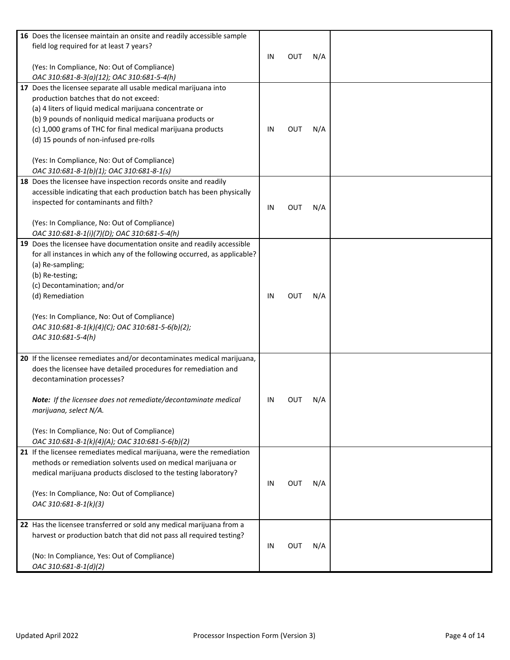| 16 Does the licensee maintain an onsite and readily accessible sample<br>field log required for at least 7 years?  |    |            |     |  |
|--------------------------------------------------------------------------------------------------------------------|----|------------|-----|--|
|                                                                                                                    | IN | OUT        | N/A |  |
| (Yes: In Compliance, No: Out of Compliance)                                                                        |    |            |     |  |
| OAC 310:681-8-3(a)(12); OAC 310:681-5-4(h)                                                                         |    |            |     |  |
| 17 Does the licensee separate all usable medical marijuana into                                                    |    |            |     |  |
| production batches that do not exceed:                                                                             |    |            |     |  |
| (a) 4 liters of liquid medical marijuana concentrate or<br>(b) 9 pounds of nonliquid medical marijuana products or |    |            |     |  |
| (c) 1,000 grams of THC for final medical marijuana products                                                        | IN | Ουτ        | N/A |  |
| (d) 15 pounds of non-infused pre-rolls                                                                             |    |            |     |  |
|                                                                                                                    |    |            |     |  |
| (Yes: In Compliance, No: Out of Compliance)                                                                        |    |            |     |  |
| OAC 310:681-8-1(b)(1); OAC 310:681-8-1(s)                                                                          |    |            |     |  |
| 18 Does the licensee have inspection records onsite and readily                                                    |    |            |     |  |
| accessible indicating that each production batch has been physically                                               |    |            |     |  |
| inspected for contaminants and filth?                                                                              |    |            |     |  |
|                                                                                                                    | IN | <b>OUT</b> | N/A |  |
| (Yes: In Compliance, No: Out of Compliance)                                                                        |    |            |     |  |
| OAC 310:681-8-1(i)(7)(D); OAC 310:681-5-4(h)                                                                       |    |            |     |  |
| 19 Does the licensee have documentation onsite and readily accessible                                              |    |            |     |  |
| for all instances in which any of the following occurred, as applicable?                                           |    |            |     |  |
| (a) Re-sampling;                                                                                                   |    |            |     |  |
| (b) Re-testing;                                                                                                    |    |            |     |  |
| (c) Decontamination; and/or                                                                                        |    |            |     |  |
| (d) Remediation                                                                                                    | IN | <b>OUT</b> | N/A |  |
|                                                                                                                    |    |            |     |  |
| (Yes: In Compliance, No: Out of Compliance)                                                                        |    |            |     |  |
| OAC 310:681-8-1(k)(4)(C); OAC 310:681-5-6(b)(2);                                                                   |    |            |     |  |
| OAC 310:681-5-4(h)                                                                                                 |    |            |     |  |
| 20 If the licensee remediates and/or decontaminates medical marijuana,                                             |    |            |     |  |
| does the licensee have detailed procedures for remediation and                                                     |    |            |     |  |
| decontamination processes?                                                                                         |    |            |     |  |
|                                                                                                                    |    |            |     |  |
| Note: If the licensee does not remediate/decontaminate medical                                                     | IN | OUT        | N/A |  |
| marijuana, select N/A.                                                                                             |    |            |     |  |
|                                                                                                                    |    |            |     |  |
| (Yes: In Compliance, No: Out of Compliance)                                                                        |    |            |     |  |
| OAC 310:681-8-1(k)(4)(A); OAC 310:681-5-6(b)(2)                                                                    |    |            |     |  |
| 21 If the licensee remediates medical marijuana, were the remediation                                              |    |            |     |  |
| methods or remediation solvents used on medical marijuana or                                                       |    |            |     |  |
| medical marijuana products disclosed to the testing laboratory?                                                    |    |            |     |  |
|                                                                                                                    | IN | <b>OUT</b> | N/A |  |
| (Yes: In Compliance, No: Out of Compliance)                                                                        |    |            |     |  |
| OAC 310:681-8-1(k)(3)                                                                                              |    |            |     |  |
| 22 Has the licensee transferred or sold any medical marijuana from a                                               |    |            |     |  |
| harvest or production batch that did not pass all required testing?                                                |    |            |     |  |
|                                                                                                                    | IN | <b>OUT</b> | N/A |  |
| (No: In Compliance, Yes: Out of Compliance)                                                                        |    |            |     |  |
| OAC 310:681-8-1(d)(2)                                                                                              |    |            |     |  |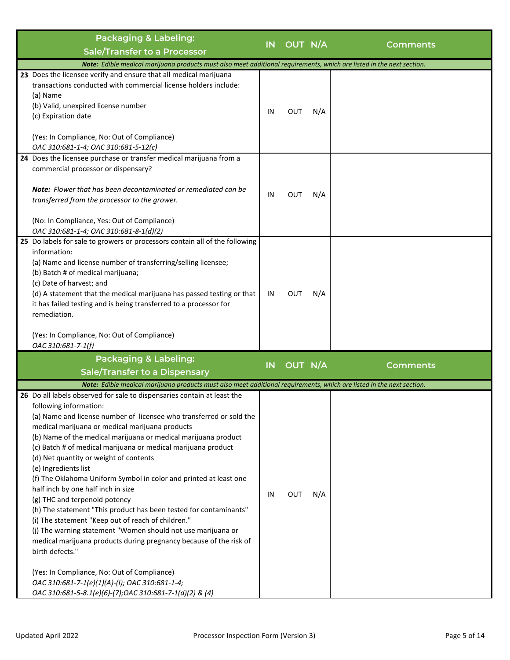| Packaging & Labeling:                                                                                                                                                                                                                                                                                                                                                                                                                                                                                                                                                                                                                                                                                                                                                                                                                                                                                           | IN | OUT N/A    |     |                 |
|-----------------------------------------------------------------------------------------------------------------------------------------------------------------------------------------------------------------------------------------------------------------------------------------------------------------------------------------------------------------------------------------------------------------------------------------------------------------------------------------------------------------------------------------------------------------------------------------------------------------------------------------------------------------------------------------------------------------------------------------------------------------------------------------------------------------------------------------------------------------------------------------------------------------|----|------------|-----|-----------------|
| <b>Sale/Transfer to a Processor</b>                                                                                                                                                                                                                                                                                                                                                                                                                                                                                                                                                                                                                                                                                                                                                                                                                                                                             |    |            |     | Comments        |
| Note: Edible medical marijuana products must also meet additional requirements, which are listed in the next section.                                                                                                                                                                                                                                                                                                                                                                                                                                                                                                                                                                                                                                                                                                                                                                                           |    |            |     |                 |
| 23 Does the licensee verify and ensure that all medical marijuana<br>transactions conducted with commercial license holders include:<br>(a) Name<br>(b) Valid, unexpired license number<br>(c) Expiration date                                                                                                                                                                                                                                                                                                                                                                                                                                                                                                                                                                                                                                                                                                  | IN | <b>OUT</b> | N/A |                 |
| (Yes: In Compliance, No: Out of Compliance)<br>OAC 310:681-1-4; OAC 310:681-5-12(c)                                                                                                                                                                                                                                                                                                                                                                                                                                                                                                                                                                                                                                                                                                                                                                                                                             |    |            |     |                 |
| 24 Does the licensee purchase or transfer medical marijuana from a<br>commercial processor or dispensary?                                                                                                                                                                                                                                                                                                                                                                                                                                                                                                                                                                                                                                                                                                                                                                                                       |    |            |     |                 |
| <b>Note:</b> Flower that has been decontaminated or remediated can be<br>transferred from the processor to the grower.                                                                                                                                                                                                                                                                                                                                                                                                                                                                                                                                                                                                                                                                                                                                                                                          | IN | <b>OUT</b> | N/A |                 |
| (No: In Compliance, Yes: Out of Compliance)<br>OAC 310:681-1-4; OAC 310:681-8-1(d)(2)                                                                                                                                                                                                                                                                                                                                                                                                                                                                                                                                                                                                                                                                                                                                                                                                                           |    |            |     |                 |
| 25 Do labels for sale to growers or processors contain all of the following<br>information:<br>(a) Name and license number of transferring/selling licensee;<br>(b) Batch # of medical marijuana;<br>(c) Date of harvest; and<br>(d) A statement that the medical marijuana has passed testing or that<br>it has failed testing and is being transferred to a processor for<br>remediation.                                                                                                                                                                                                                                                                                                                                                                                                                                                                                                                     | IN | <b>OUT</b> | N/A |                 |
| (Yes: In Compliance, No: Out of Compliance)<br>OAC 310:681-7-1(f)                                                                                                                                                                                                                                                                                                                                                                                                                                                                                                                                                                                                                                                                                                                                                                                                                                               |    |            |     |                 |
| <b>Packaging &amp; Labeling:</b><br><b>Sale/Transfer to a Dispensary</b>                                                                                                                                                                                                                                                                                                                                                                                                                                                                                                                                                                                                                                                                                                                                                                                                                                        | IN | OUT N/A    |     | <b>Comments</b> |
| Note: Edible medical marijuana products must also meet additional requirements, which are listed in the next section.                                                                                                                                                                                                                                                                                                                                                                                                                                                                                                                                                                                                                                                                                                                                                                                           |    |            |     |                 |
| 26 Do all labels observed for sale to dispensaries contain at least the<br>following information:<br>(a) Name and license number of licensee who transferred or sold the<br>medical marijuana or medical marijuana products<br>(b) Name of the medical marijuana or medical marijuana product<br>(c) Batch # of medical marijuana or medical marijuana product<br>(d) Net quantity or weight of contents<br>(e) Ingredients list<br>(f) The Oklahoma Uniform Symbol in color and printed at least one<br>half inch by one half inch in size<br>(g) THC and terpenoid potency<br>(h) The statement "This product has been tested for contaminants"<br>(i) The statement "Keep out of reach of children."<br>(j) The warning statement "Women should not use marijuana or<br>medical marijuana products during pregnancy because of the risk of<br>birth defects."<br>(Yes: In Compliance, No: Out of Compliance) | IN | OUT        | N/A |                 |
| OAC 310:681-7-1(e)(1)(A)-(I); OAC 310:681-1-4;<br>OAC 310:681-5-8.1(e)(6)-(7);OAC 310:681-7-1(d)(2) & (4)                                                                                                                                                                                                                                                                                                                                                                                                                                                                                                                                                                                                                                                                                                                                                                                                       |    |            |     |                 |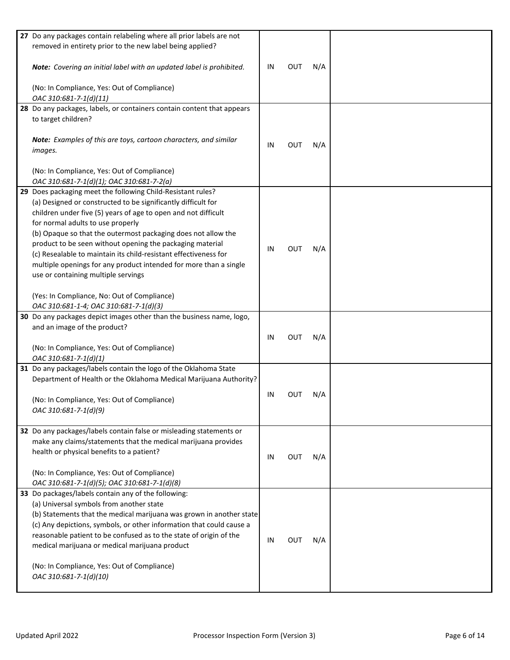| 27 Do any packages contain relabeling where all prior labels are not   |    |            |     |  |
|------------------------------------------------------------------------|----|------------|-----|--|
| removed in entirety prior to the new label being applied?              |    |            |     |  |
|                                                                        |    |            |     |  |
|                                                                        | IN |            |     |  |
| Note: Covering an initial label with an updated label is prohibited.   |    | OUT        | N/A |  |
|                                                                        |    |            |     |  |
| (No: In Compliance, Yes: Out of Compliance)                            |    |            |     |  |
| OAC 310:681-7-1(d)(11)                                                 |    |            |     |  |
|                                                                        |    |            |     |  |
| 28 Do any packages, labels, or containers contain content that appears |    |            |     |  |
| to target children?                                                    |    |            |     |  |
|                                                                        |    |            |     |  |
| Note: Examples of this are toys, cartoon characters, and similar       |    |            |     |  |
| images.                                                                | IN | <b>OUT</b> | N/A |  |
|                                                                        |    |            |     |  |
|                                                                        |    |            |     |  |
| (No: In Compliance, Yes: Out of Compliance)                            |    |            |     |  |
| OAC 310:681-7-1(d)(1); OAC 310:681-7-2(a)                              |    |            |     |  |
| 29 Does packaging meet the following Child-Resistant rules?            |    |            |     |  |
|                                                                        |    |            |     |  |
| (a) Designed or constructed to be significantly difficult for          |    |            |     |  |
| children under five (5) years of age to open and not difficult         |    |            |     |  |
| for normal adults to use properly                                      |    |            |     |  |
| (b) Opaque so that the outermost packaging does not allow the          |    |            |     |  |
| product to be seen without opening the packaging material              |    |            |     |  |
|                                                                        | ΙN | <b>OUT</b> | N/A |  |
| (c) Resealable to maintain its child-resistant effectiveness for       |    |            |     |  |
| multiple openings for any product intended for more than a single      |    |            |     |  |
| use or containing multiple servings                                    |    |            |     |  |
|                                                                        |    |            |     |  |
|                                                                        |    |            |     |  |
| (Yes: In Compliance, No: Out of Compliance)                            |    |            |     |  |
| OAC 310:681-1-4; OAC 310:681-7-1(d)(3)                                 |    |            |     |  |
| 30 Do any packages depict images other than the business name, logo,   |    |            |     |  |
| and an image of the product?                                           |    |            |     |  |
|                                                                        |    | <b>OUT</b> |     |  |
|                                                                        | IN |            | N/A |  |
| (No: In Compliance, Yes: Out of Compliance)                            |    |            |     |  |
| OAC 310:681-7-1(d)(1)                                                  |    |            |     |  |
| 31 Do any packages/labels contain the logo of the Oklahoma State       |    |            |     |  |
| Department of Health or the Oklahoma Medical Marijuana Authority?      |    |            |     |  |
|                                                                        |    |            |     |  |
|                                                                        | IN | OUT        | N/A |  |
| (No: In Compliance, Yes: Out of Compliance)                            |    |            |     |  |
| OAC 310:681-7-1(d)(9)                                                  |    |            |     |  |
|                                                                        |    |            |     |  |
|                                                                        |    |            |     |  |
| 32 Do any packages/labels contain false or misleading statements or    |    |            |     |  |
| make any claims/statements that the medical marijuana provides         |    |            |     |  |
| health or physical benefits to a patient?                              |    |            |     |  |
|                                                                        | IN | OUT        | N/A |  |
|                                                                        |    |            |     |  |
| (No: In Compliance, Yes: Out of Compliance)                            |    |            |     |  |
| OAC 310:681-7-1(d)(5); OAC 310:681-7-1(d)(8)                           |    |            |     |  |
| 33 Do packages/labels contain any of the following:                    |    |            |     |  |
| (a) Universal symbols from another state                               |    |            |     |  |
| (b) Statements that the medical marijuana was grown in another state   |    |            |     |  |
|                                                                        |    |            |     |  |
| (c) Any depictions, symbols, or other information that could cause a   |    |            |     |  |
| reasonable patient to be confused as to the state of origin of the     |    | <b>OUT</b> |     |  |
| medical marijuana or medical marijuana product                         | IN |            | N/A |  |
|                                                                        |    |            |     |  |
|                                                                        |    |            |     |  |
| (No: In Compliance, Yes: Out of Compliance)                            |    |            |     |  |
| OAC 310:681-7-1(d)(10)                                                 |    |            |     |  |
|                                                                        |    |            |     |  |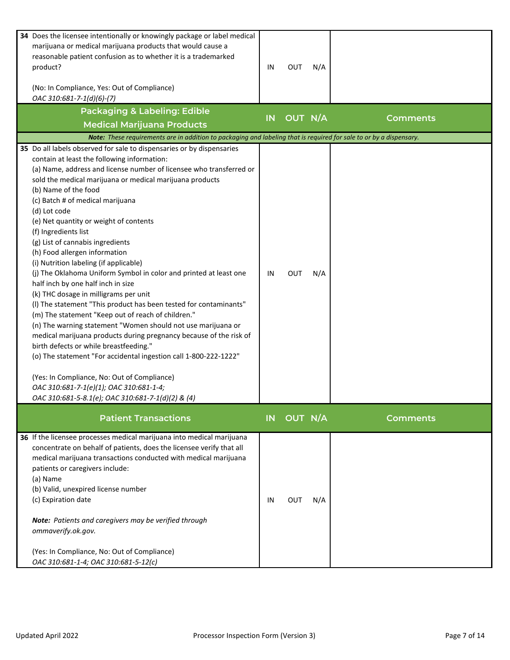| 34 Does the licensee intentionally or knowingly package or label medical<br>marijuana or medical marijuana products that would cause a<br>reasonable patient confusion as to whether it is a trademarked<br>product?<br>(No: In Compliance, Yes: Out of Compliance)<br>OAC 310:681-7-1(d)(6)-(7)<br><b>Packaging &amp; Labeling: Edible</b>                                                                                                                                                                                                                                                                                                                                                                                                                                                                                                                                                                                                                                                                                                                                                                                                                                                            | IN        | OUT        | N/A |                 |
|--------------------------------------------------------------------------------------------------------------------------------------------------------------------------------------------------------------------------------------------------------------------------------------------------------------------------------------------------------------------------------------------------------------------------------------------------------------------------------------------------------------------------------------------------------------------------------------------------------------------------------------------------------------------------------------------------------------------------------------------------------------------------------------------------------------------------------------------------------------------------------------------------------------------------------------------------------------------------------------------------------------------------------------------------------------------------------------------------------------------------------------------------------------------------------------------------------|-----------|------------|-----|-----------------|
| <b>Medical Marijuana Products</b>                                                                                                                                                                                                                                                                                                                                                                                                                                                                                                                                                                                                                                                                                                                                                                                                                                                                                                                                                                                                                                                                                                                                                                      | IN        | OUT N/A    |     | <b>Comments</b> |
| Note: These requirements are in addition to packaging and labeling that is required for sale to or by a dispensary.                                                                                                                                                                                                                                                                                                                                                                                                                                                                                                                                                                                                                                                                                                                                                                                                                                                                                                                                                                                                                                                                                    |           |            |     |                 |
| 35 Do all labels observed for sale to dispensaries or by dispensaries<br>contain at least the following information:<br>(a) Name, address and license number of licensee who transferred or<br>sold the medical marijuana or medical marijuana products<br>(b) Name of the food<br>(c) Batch # of medical marijuana<br>(d) Lot code<br>(e) Net quantity or weight of contents<br>(f) Ingredients list<br>(g) List of cannabis ingredients<br>(h) Food allergen information<br>(i) Nutrition labeling (if applicable)<br>(j) The Oklahoma Uniform Symbol in color and printed at least one<br>half inch by one half inch in size<br>(k) THC dosage in milligrams per unit<br>(I) The statement "This product has been tested for contaminants"<br>(m) The statement "Keep out of reach of children."<br>(n) The warning statement "Women should not use marijuana or<br>medical marijuana products during pregnancy because of the risk of<br>birth defects or while breastfeeding."<br>(o) The statement "For accidental ingestion call 1-800-222-1222"<br>(Yes: In Compliance, No: Out of Compliance)<br>OAC 310:681-7-1(e)(1); OAC 310:681-1-4;<br>OAC 310:681-5-8.1(e); OAC 310:681-7-1(d)(2) & (4) | IN        | <b>OUT</b> | N/A |                 |
| <b>Patient Transactions</b>                                                                                                                                                                                                                                                                                                                                                                                                                                                                                                                                                                                                                                                                                                                                                                                                                                                                                                                                                                                                                                                                                                                                                                            | <b>IN</b> | OUT N/A    |     | Comments        |
| 36 If the licensee processes medical marijuana into medical marijuana<br>concentrate on behalf of patients, does the licensee verify that all<br>medical marijuana transactions conducted with medical marijuana<br>patients or caregivers include:<br>(a) Name<br>(b) Valid, unexpired license number<br>(c) Expiration date<br>Note: Patients and caregivers may be verified through<br>ommaverify.ok.gov.<br>(Yes: In Compliance, No: Out of Compliance)<br>OAC 310:681-1-4; OAC 310:681-5-12(c)                                                                                                                                                                                                                                                                                                                                                                                                                                                                                                                                                                                                                                                                                                    | IN        | OUT        | N/A |                 |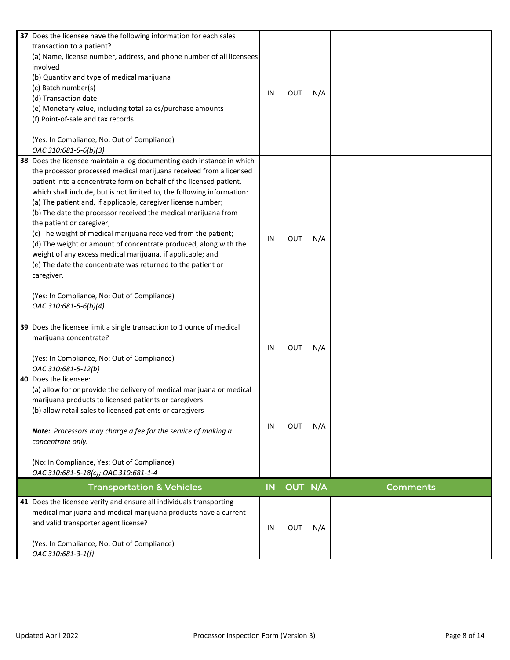| 37 Does the licensee have the following information for each sales<br>transaction to a patient?<br>(a) Name, license number, address, and phone number of all licensees<br>involved<br>(b) Quantity and type of medical marijuana<br>(c) Batch number(s)<br>(d) Transaction date<br>(e) Monetary value, including total sales/purchase amounts<br>(f) Point-of-sale and tax records<br>(Yes: In Compliance, No: Out of Compliance)<br>OAC 310:681-5-6(b)(3)                                                                                                                                                                                                                                                                                                                                                           | IN        | OUT        | N/A |                 |
|-----------------------------------------------------------------------------------------------------------------------------------------------------------------------------------------------------------------------------------------------------------------------------------------------------------------------------------------------------------------------------------------------------------------------------------------------------------------------------------------------------------------------------------------------------------------------------------------------------------------------------------------------------------------------------------------------------------------------------------------------------------------------------------------------------------------------|-----------|------------|-----|-----------------|
| 38 Does the licensee maintain a log documenting each instance in which<br>the processor processed medical marijuana received from a licensed<br>patient into a concentrate form on behalf of the licensed patient,<br>which shall include, but is not limited to, the following information:<br>(a) The patient and, if applicable, caregiver license number;<br>(b) The date the processor received the medical marijuana from<br>the patient or caregiver;<br>(c) The weight of medical marijuana received from the patient;<br>(d) The weight or amount of concentrate produced, along with the<br>weight of any excess medical marijuana, if applicable; and<br>(e) The date the concentrate was returned to the patient or<br>caregiver.<br>(Yes: In Compliance, No: Out of Compliance)<br>OAC 310:681-5-6(b)(4) | IN        | <b>OUT</b> | N/A |                 |
| 39 Does the licensee limit a single transaction to 1 ounce of medical<br>marijuana concentrate?<br>(Yes: In Compliance, No: Out of Compliance)<br>OAC 310:681-5-12(b)                                                                                                                                                                                                                                                                                                                                                                                                                                                                                                                                                                                                                                                 | IN        | OUT        | N/A |                 |
| 40 Does the licensee:<br>(a) allow for or provide the delivery of medical marijuana or medical<br>marijuana products to licensed patients or caregivers<br>(b) allow retail sales to licensed patients or caregivers<br>Note: Processors may charge a fee for the service of making a<br>concentrate only.<br>(No: In Compliance, Yes: Out of Compliance)<br>OAC 310:681-5-18(c); OAC 310:681-1-4                                                                                                                                                                                                                                                                                                                                                                                                                     | IN        | <b>OUT</b> | N/A |                 |
| <b>Transportation &amp; Vehicles</b>                                                                                                                                                                                                                                                                                                                                                                                                                                                                                                                                                                                                                                                                                                                                                                                  | <b>IN</b> | OUT N/A    |     | <b>Comments</b> |
| 41 Does the licensee verify and ensure all individuals transporting<br>medical marijuana and medical marijuana products have a current<br>and valid transporter agent license?<br>(Yes: In Compliance, No: Out of Compliance)<br>OAC 310:681-3-1(f)                                                                                                                                                                                                                                                                                                                                                                                                                                                                                                                                                                   | IN        | <b>OUT</b> | N/A |                 |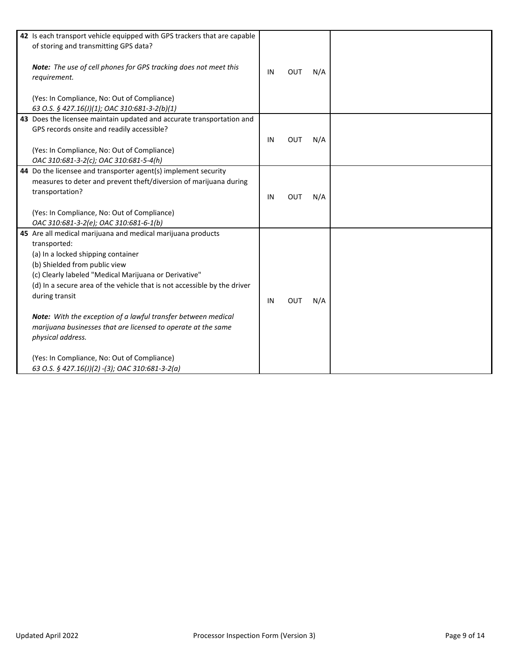| 42 Is each transport vehicle equipped with GPS trackers that are capable<br>of storing and transmitting GPS data?<br>Note: The use of cell phones for GPS tracking does not meet this<br>requirement.<br>(Yes: In Compliance, No: Out of Compliance)<br>63 O.S. § 427.16(J)(1); OAC 310:681-3-2(b)(1)                                                                                                                                                                                                                                                              | IN | OUT        | N/A |  |
|--------------------------------------------------------------------------------------------------------------------------------------------------------------------------------------------------------------------------------------------------------------------------------------------------------------------------------------------------------------------------------------------------------------------------------------------------------------------------------------------------------------------------------------------------------------------|----|------------|-----|--|
| 43 Does the licensee maintain updated and accurate transportation and<br>GPS records onsite and readily accessible?<br>(Yes: In Compliance, No: Out of Compliance)<br>OAC 310:681-3-2(c); OAC 310:681-5-4(h)                                                                                                                                                                                                                                                                                                                                                       | IN | <b>OUT</b> | N/A |  |
| 44 Do the licensee and transporter agent(s) implement security<br>measures to deter and prevent theft/diversion of marijuana during<br>transportation?<br>(Yes: In Compliance, No: Out of Compliance)<br>OAC 310:681-3-2(e); OAC 310:681-6-1(b)                                                                                                                                                                                                                                                                                                                    | IN | <b>OUT</b> | N/A |  |
| 45 Are all medical marijuana and medical marijuana products<br>transported:<br>(a) In a locked shipping container<br>(b) Shielded from public view<br>(c) Clearly labeled "Medical Marijuana or Derivative"<br>(d) In a secure area of the vehicle that is not accessible by the driver<br>during transit<br>Note: With the exception of a lawful transfer between medical<br>marijuana businesses that are licensed to operate at the same<br>physical address.<br>(Yes: In Compliance, No: Out of Compliance)<br>63 O.S. § 427.16(J)(2) -(3); OAC 310:681-3-2(a) | IN | <b>OUT</b> | N/A |  |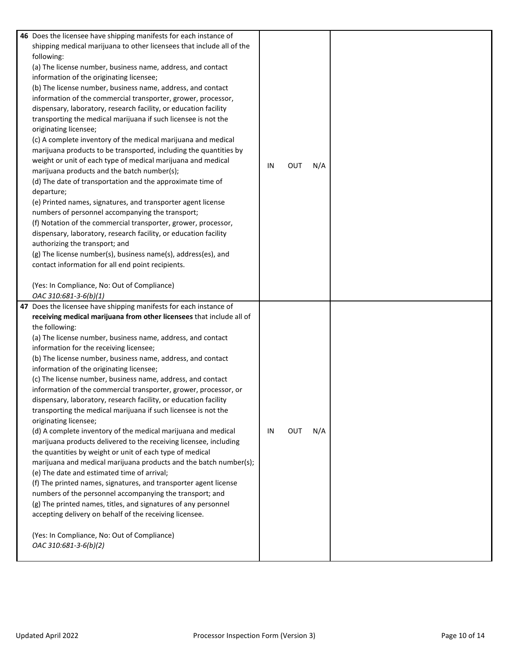| 46 Does the licensee have shipping manifests for each instance of     |    |            |     |  |
|-----------------------------------------------------------------------|----|------------|-----|--|
| shipping medical marijuana to other licensees that include all of the |    |            |     |  |
| following:                                                            |    |            |     |  |
| (a) The license number, business name, address, and contact           |    |            |     |  |
| information of the originating licensee;                              |    |            |     |  |
| (b) The license number, business name, address, and contact           |    |            |     |  |
| information of the commercial transporter, grower, processor,         |    |            |     |  |
| dispensary, laboratory, research facility, or education facility      |    |            |     |  |
| transporting the medical marijuana if such licensee is not the        |    |            |     |  |
| originating licensee;                                                 |    |            |     |  |
| (c) A complete inventory of the medical marijuana and medical         |    |            |     |  |
| marijuana products to be transported, including the quantities by     |    |            |     |  |
|                                                                       |    |            |     |  |
| weight or unit of each type of medical marijuana and medical          | IN | <b>OUT</b> | N/A |  |
| marijuana products and the batch number(s);                           |    |            |     |  |
| (d) The date of transportation and the approximate time of            |    |            |     |  |
| departure;                                                            |    |            |     |  |
| (e) Printed names, signatures, and transporter agent license          |    |            |     |  |
| numbers of personnel accompanying the transport;                      |    |            |     |  |
| (f) Notation of the commercial transporter, grower, processor,        |    |            |     |  |
| dispensary, laboratory, research facility, or education facility      |    |            |     |  |
| authorizing the transport; and                                        |    |            |     |  |
| (g) The license number(s), business name(s), address(es), and         |    |            |     |  |
| contact information for all end point recipients.                     |    |            |     |  |
|                                                                       |    |            |     |  |
| (Yes: In Compliance, No: Out of Compliance)                           |    |            |     |  |
|                                                                       |    |            |     |  |
| OAC 310:681-3-6(b)(1)                                                 |    |            |     |  |
| 47 Does the licensee have shipping manifests for each instance of     |    |            |     |  |
| receiving medical marijuana from other licensees that include all of  |    |            |     |  |
|                                                                       |    |            |     |  |
| the following:                                                        |    |            |     |  |
| (a) The license number, business name, address, and contact           |    |            |     |  |
| information for the receiving licensee;                               |    |            |     |  |
| (b) The license number, business name, address, and contact           |    |            |     |  |
| information of the originating licensee;                              |    |            |     |  |
| (c) The license number, business name, address, and contact           |    |            |     |  |
| information of the commercial transporter, grower, processor, or      |    |            |     |  |
| dispensary, laboratory, research facility, or education facility      |    |            |     |  |
| transporting the medical marijuana if such licensee is not the        |    |            |     |  |
| originating licensee;                                                 |    |            |     |  |
| (d) A complete inventory of the medical marijuana and medical         | IN | <b>OUT</b> | N/A |  |
| marijuana products delivered to the receiving licensee, including     |    |            |     |  |
| the quantities by weight or unit of each type of medical              |    |            |     |  |
| marijuana and medical marijuana products and the batch number(s);     |    |            |     |  |
| (e) The date and estimated time of arrival;                           |    |            |     |  |
| (f) The printed names, signatures, and transporter agent license      |    |            |     |  |
| numbers of the personnel accompanying the transport; and              |    |            |     |  |
| (g) The printed names, titles, and signatures of any personnel        |    |            |     |  |
| accepting delivery on behalf of the receiving licensee.               |    |            |     |  |
|                                                                       |    |            |     |  |
| (Yes: In Compliance, No: Out of Compliance)                           |    |            |     |  |
| OAC 310:681-3-6(b)(2)                                                 |    |            |     |  |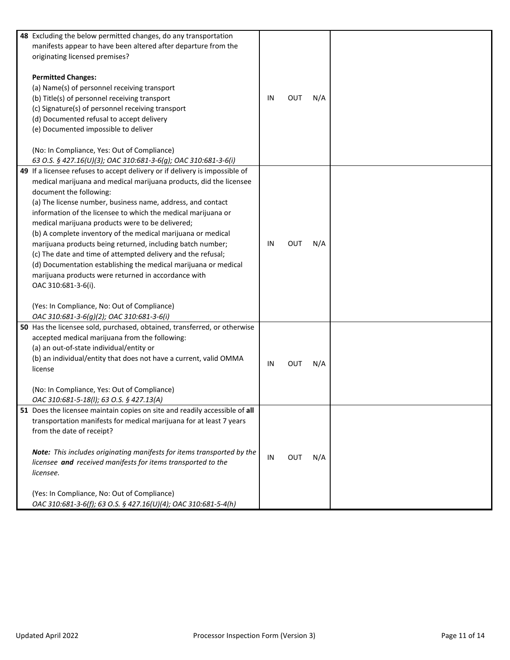| 48 Excluding the below permitted changes, do any transportation<br>manifests appear to have been altered after departure from the<br>originating licensed premises?<br><b>Permitted Changes:</b><br>(a) Name(s) of personnel receiving transport<br>(b) Title(s) of personnel receiving transport<br>(c) Signature(s) of personnel receiving transport                                                                                                                                                                                                                                                                                                                                                                                                                                                      | IN | OUT | N/A |  |
|-------------------------------------------------------------------------------------------------------------------------------------------------------------------------------------------------------------------------------------------------------------------------------------------------------------------------------------------------------------------------------------------------------------------------------------------------------------------------------------------------------------------------------------------------------------------------------------------------------------------------------------------------------------------------------------------------------------------------------------------------------------------------------------------------------------|----|-----|-----|--|
| (d) Documented refusal to accept delivery<br>(e) Documented impossible to deliver<br>(No: In Compliance, Yes: Out of Compliance)                                                                                                                                                                                                                                                                                                                                                                                                                                                                                                                                                                                                                                                                            |    |     |     |  |
| 63 O.S. § 427.16(U)(3); OAC 310:681-3-6(g); OAC 310:681-3-6(i)                                                                                                                                                                                                                                                                                                                                                                                                                                                                                                                                                                                                                                                                                                                                              |    |     |     |  |
| 49 If a licensee refuses to accept delivery or if delivery is impossible of<br>medical marijuana and medical marijuana products, did the licensee<br>document the following:<br>(a) The license number, business name, address, and contact<br>information of the licensee to which the medical marijuana or<br>medical marijuana products were to be delivered;<br>(b) A complete inventory of the medical marijuana or medical<br>marijuana products being returned, including batch number;<br>(c) The date and time of attempted delivery and the refusal;<br>(d) Documentation establishing the medical marijuana or medical<br>marijuana products were returned in accordance with<br>OAC 310:681-3-6(i).<br>(Yes: In Compliance, No: Out of Compliance)<br>OAC 310:681-3-6(g)(2); OAC 310:681-3-6(i) | IN | OUT | N/A |  |
| 50 Has the licensee sold, purchased, obtained, transferred, or otherwise<br>accepted medical marijuana from the following:<br>(a) an out-of-state individual/entity or<br>(b) an individual/entity that does not have a current, valid OMMA<br>license<br>(No: In Compliance, Yes: Out of Compliance)<br>OAC 310:681-5-18(I); 63 O.S. § 427.13(A)                                                                                                                                                                                                                                                                                                                                                                                                                                                           | IN | OUT | N/A |  |
| 51 Does the licensee maintain copies on site and readily accessible of all<br>transportation manifests for medical marijuana for at least 7 years<br>from the date of receipt?<br>Note: This includes originating manifests for items transported by the<br>licensee and received manifests for items transported to the<br>licensee.<br>(Yes: In Compliance, No: Out of Compliance)<br>OAC 310:681-3-6(f); 63 O.S. § 427.16(U)(4); OAC 310:681-5-4(h)                                                                                                                                                                                                                                                                                                                                                      | IN | OUT | N/A |  |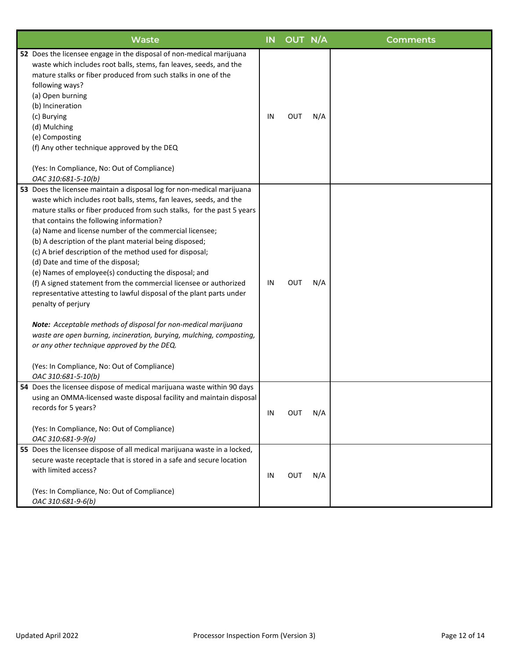| Waste                                                                                                                                                                                                                                                                                                                                                                                                                                                                                                                                                                                                                                                                                                                                                                                                                                                                                                                                                                                 | <b>IN</b> | OUT N/A    |     | <b>Comments</b> |
|---------------------------------------------------------------------------------------------------------------------------------------------------------------------------------------------------------------------------------------------------------------------------------------------------------------------------------------------------------------------------------------------------------------------------------------------------------------------------------------------------------------------------------------------------------------------------------------------------------------------------------------------------------------------------------------------------------------------------------------------------------------------------------------------------------------------------------------------------------------------------------------------------------------------------------------------------------------------------------------|-----------|------------|-----|-----------------|
| 52 Does the licensee engage in the disposal of non-medical marijuana<br>waste which includes root balls, stems, fan leaves, seeds, and the<br>mature stalks or fiber produced from such stalks in one of the<br>following ways?<br>(a) Open burning<br>(b) Incineration<br>(c) Burying<br>(d) Mulching<br>(e) Composting<br>(f) Any other technique approved by the DEQ<br>(Yes: In Compliance, No: Out of Compliance)<br>OAC 310:681-5-10(b)                                                                                                                                                                                                                                                                                                                                                                                                                                                                                                                                         | IN        | <b>OUT</b> | N/A |                 |
| 53 Does the licensee maintain a disposal log for non-medical marijuana<br>waste which includes root balls, stems, fan leaves, seeds, and the<br>mature stalks or fiber produced from such stalks, for the past 5 years<br>that contains the following information?<br>(a) Name and license number of the commercial licensee;<br>(b) A description of the plant material being disposed;<br>(c) A brief description of the method used for disposal;<br>(d) Date and time of the disposal;<br>(e) Names of employee(s) conducting the disposal; and<br>(f) A signed statement from the commercial licensee or authorized<br>representative attesting to lawful disposal of the plant parts under<br>penalty of perjury<br>Note: Acceptable methods of disposal for non-medical marijuana<br>waste are open burning, incineration, burying, mulching, composting,<br>or any other technique approved by the DEQ.<br>(Yes: In Compliance, No: Out of Compliance)<br>OAC 310:681-5-10(b) | IN        | <b>OUT</b> | N/A |                 |
| 54 Does the licensee dispose of medical marijuana waste within 90 days<br>using an OMMA-licensed waste disposal facility and maintain disposal<br>records for 5 years?<br>(Yes: In Compliance, No: Out of Compliance)<br>OAC 310:681-9-9(a)                                                                                                                                                                                                                                                                                                                                                                                                                                                                                                                                                                                                                                                                                                                                           | IN        | <b>OUT</b> | N/A |                 |
| 55 Does the licensee dispose of all medical marijuana waste in a locked,<br>secure waste receptacle that is stored in a safe and secure location<br>with limited access?<br>(Yes: In Compliance, No: Out of Compliance)<br>OAC 310:681-9-6(b)                                                                                                                                                                                                                                                                                                                                                                                                                                                                                                                                                                                                                                                                                                                                         | IN        | Ουτ        | N/A |                 |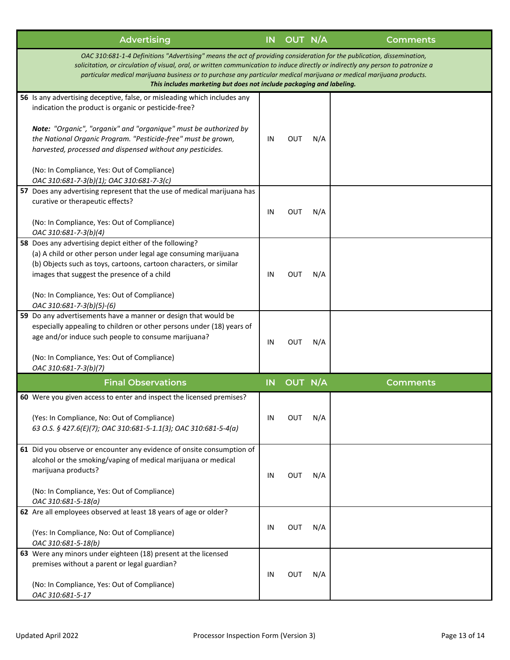| <b>Advertising</b>                                                                                                                                                                                                                                                                                                                                                                                                                                          | IN                                                                                                                                                                                                                                                                                                                                                                                                                                                                                                            |            |            | <b>Comments</b>                  |  |  |
|-------------------------------------------------------------------------------------------------------------------------------------------------------------------------------------------------------------------------------------------------------------------------------------------------------------------------------------------------------------------------------------------------------------------------------------------------------------|---------------------------------------------------------------------------------------------------------------------------------------------------------------------------------------------------------------------------------------------------------------------------------------------------------------------------------------------------------------------------------------------------------------------------------------------------------------------------------------------------------------|------------|------------|----------------------------------|--|--|
| OAC 310:681-1-4 Definitions "Advertising" means the act of providing consideration for the publication, dissemination,<br>solicitation, or circulation of visual, oral, or written communication to induce directly or indirectly any person to patronize a<br>particular medical marijuana business or to purchase any particular medical marijuana or medical marijuana products.<br>This includes marketing but does not include packaging and labeling. |                                                                                                                                                                                                                                                                                                                                                                                                                                                                                                               |            |            |                                  |  |  |
| 56 Is any advertising deceptive, false, or misleading which includes any                                                                                                                                                                                                                                                                                                                                                                                    |                                                                                                                                                                                                                                                                                                                                                                                                                                                                                                               |            |            |                                  |  |  |
| indication the product is organic or pesticide-free?                                                                                                                                                                                                                                                                                                                                                                                                        |                                                                                                                                                                                                                                                                                                                                                                                                                                                                                                               |            |            |                                  |  |  |
| Note: "Organic", "organix" and "organique" must be authorized by<br>the National Organic Program. "Pesticide-free" must be grown,<br>harvested, processed and dispensed without any pesticides.                                                                                                                                                                                                                                                             | IN                                                                                                                                                                                                                                                                                                                                                                                                                                                                                                            | <b>OUT</b> | N/A        |                                  |  |  |
| (No: In Compliance, Yes: Out of Compliance)                                                                                                                                                                                                                                                                                                                                                                                                                 |                                                                                                                                                                                                                                                                                                                                                                                                                                                                                                               |            |            |                                  |  |  |
|                                                                                                                                                                                                                                                                                                                                                                                                                                                             |                                                                                                                                                                                                                                                                                                                                                                                                                                                                                                               |            |            |                                  |  |  |
|                                                                                                                                                                                                                                                                                                                                                                                                                                                             |                                                                                                                                                                                                                                                                                                                                                                                                                                                                                                               |            |            |                                  |  |  |
|                                                                                                                                                                                                                                                                                                                                                                                                                                                             |                                                                                                                                                                                                                                                                                                                                                                                                                                                                                                               |            |            |                                  |  |  |
| (No: In Compliance, Yes: Out of Compliance)                                                                                                                                                                                                                                                                                                                                                                                                                 |                                                                                                                                                                                                                                                                                                                                                                                                                                                                                                               |            |            |                                  |  |  |
|                                                                                                                                                                                                                                                                                                                                                                                                                                                             |                                                                                                                                                                                                                                                                                                                                                                                                                                                                                                               |            |            |                                  |  |  |
| (a) A child or other person under legal age consuming marijuana                                                                                                                                                                                                                                                                                                                                                                                             |                                                                                                                                                                                                                                                                                                                                                                                                                                                                                                               |            |            |                                  |  |  |
| (b) Objects such as toys, cartoons, cartoon characters, or similar                                                                                                                                                                                                                                                                                                                                                                                          |                                                                                                                                                                                                                                                                                                                                                                                                                                                                                                               |            |            |                                  |  |  |
| images that suggest the presence of a child                                                                                                                                                                                                                                                                                                                                                                                                                 | IN                                                                                                                                                                                                                                                                                                                                                                                                                                                                                                            | OUT        | N/A        |                                  |  |  |
| (No: In Compliance, Yes: Out of Compliance)                                                                                                                                                                                                                                                                                                                                                                                                                 |                                                                                                                                                                                                                                                                                                                                                                                                                                                                                                               |            |            |                                  |  |  |
| 59 Do any advertisements have a manner or design that would be                                                                                                                                                                                                                                                                                                                                                                                              |                                                                                                                                                                                                                                                                                                                                                                                                                                                                                                               |            |            |                                  |  |  |
| especially appealing to children or other persons under (18) years of                                                                                                                                                                                                                                                                                                                                                                                       |                                                                                                                                                                                                                                                                                                                                                                                                                                                                                                               |            |            |                                  |  |  |
|                                                                                                                                                                                                                                                                                                                                                                                                                                                             | IN                                                                                                                                                                                                                                                                                                                                                                                                                                                                                                            | <b>OUT</b> |            |                                  |  |  |
|                                                                                                                                                                                                                                                                                                                                                                                                                                                             |                                                                                                                                                                                                                                                                                                                                                                                                                                                                                                               |            |            |                                  |  |  |
|                                                                                                                                                                                                                                                                                                                                                                                                                                                             |                                                                                                                                                                                                                                                                                                                                                                                                                                                                                                               |            |            |                                  |  |  |
|                                                                                                                                                                                                                                                                                                                                                                                                                                                             |                                                                                                                                                                                                                                                                                                                                                                                                                                                                                                               |            |            | <b>Comments</b>                  |  |  |
|                                                                                                                                                                                                                                                                                                                                                                                                                                                             |                                                                                                                                                                                                                                                                                                                                                                                                                                                                                                               |            |            |                                  |  |  |
|                                                                                                                                                                                                                                                                                                                                                                                                                                                             |                                                                                                                                                                                                                                                                                                                                                                                                                                                                                                               |            |            |                                  |  |  |
| (Yes: In Compliance, No: Out of Compliance)<br>63 O.S. § 427.6(E)(7); OAC 310:681-5-1.1(3); OAC 310:681-5-4(a)                                                                                                                                                                                                                                                                                                                                              | IN                                                                                                                                                                                                                                                                                                                                                                                                                                                                                                            | OUT        | N/A        |                                  |  |  |
| 61 Did you observe or encounter any evidence of onsite consumption of<br>alcohol or the smoking/vaping of medical marijuana or medical<br>marijuana products?                                                                                                                                                                                                                                                                                               | IN                                                                                                                                                                                                                                                                                                                                                                                                                                                                                                            | OUT        | N/A        |                                  |  |  |
| (No: In Compliance, Yes: Out of Compliance)<br>OAC 310:681-5-18(a)                                                                                                                                                                                                                                                                                                                                                                                          |                                                                                                                                                                                                                                                                                                                                                                                                                                                                                                               |            |            |                                  |  |  |
| 62 Are all employees observed at least 18 years of age or older?                                                                                                                                                                                                                                                                                                                                                                                            |                                                                                                                                                                                                                                                                                                                                                                                                                                                                                                               |            |            |                                  |  |  |
| (Yes: In Compliance, No: Out of Compliance)<br>OAC 310:681-5-18(b)                                                                                                                                                                                                                                                                                                                                                                                          | ΙN                                                                                                                                                                                                                                                                                                                                                                                                                                                                                                            | OUT        | N/A        |                                  |  |  |
| 63 Were any minors under eighteen (18) present at the licensed                                                                                                                                                                                                                                                                                                                                                                                              |                                                                                                                                                                                                                                                                                                                                                                                                                                                                                                               |            |            |                                  |  |  |
| premises without a parent or legal guardian?                                                                                                                                                                                                                                                                                                                                                                                                                | IN                                                                                                                                                                                                                                                                                                                                                                                                                                                                                                            | OUT        | N/A        |                                  |  |  |
| (No: In Compliance, Yes: Out of Compliance)<br>OAC 310:681-5-17                                                                                                                                                                                                                                                                                                                                                                                             |                                                                                                                                                                                                                                                                                                                                                                                                                                                                                                               |            |            |                                  |  |  |
|                                                                                                                                                                                                                                                                                                                                                                                                                                                             | OAC 310:681-7-3(b)(1); OAC 310:681-7-3(c)<br>57 Does any advertising represent that the use of medical marijuana has<br>curative or therapeutic effects?<br>OAC 310:681-7-3(b)(4)<br>58 Does any advertising depict either of the following?<br>OAC 310:681-7-3(b)(5)-(6)<br>age and/or induce such people to consume marijuana?<br>(No: In Compliance, Yes: Out of Compliance)<br>OAC 310:681-7-3(b)(7)<br><b>Final Observations</b><br>60 Were you given access to enter and inspect the licensed premises? | IN<br>IN   | <b>OUT</b> | OUT N/A<br>N/A<br>N/A<br>OUT N/A |  |  |